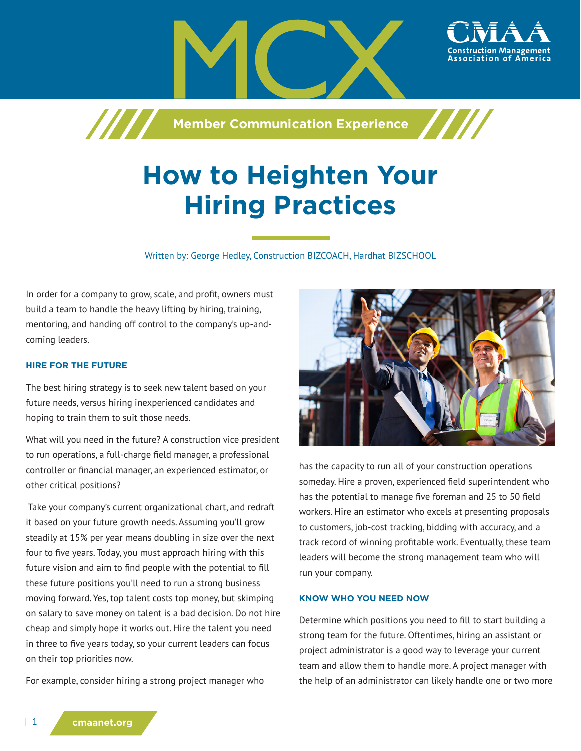

# **How to Heighten Your Hiring Practices**

Written by: George Hedley, Construction BIZCOACH, Hardhat BIZSCHOOL

In order for a company to grow, scale, and profit, owners must build a team to handle the heavy lifting by hiring, training, mentoring, and handing off control to the company's up-andcoming leaders.

#### **HIRE FOR THE FUTURE**

The best hiring strategy is to seek new talent based on your future needs, versus hiring inexperienced candidates and hoping to train them to suit those needs.

What will you need in the future? A construction vice president to run operations, a full-charge field manager, a professional controller or financial manager, an experienced estimator, or other critical positions?

 Take your company's current organizational chart, and redraft it based on your future growth needs. Assuming you'll grow steadily at 15% per year means doubling in size over the next four to five years. Today, you must approach hiring with this future vision and aim to find people with the potential to fill these future positions you'll need to run a strong business moving forward. Yes, top talent costs top money, but skimping on salary to save money on talent is a bad decision. Do not hire cheap and simply hope it works out. Hire the talent you need in three to five years today, so your current leaders can focus on their top priorities now.

For example, consider hiring a strong project manager who



has the capacity to run all of your construction operations someday. Hire a proven, experienced field superintendent who has the potential to manage five foreman and 25 to 50 field workers. Hire an estimator who excels at presenting proposals to customers, job-cost tracking, bidding with accuracy, and a track record of winning profitable work. Eventually, these team leaders will become the strong management team who will run your company.

#### **KNOW WHO YOU NEED NOW**

Determine which positions you need to fill to start building a strong team for the future. Oftentimes, hiring an assistant or project administrator is a good way to leverage your current team and allow them to handle more. A project manager with the help of an administrator can likely handle one or two more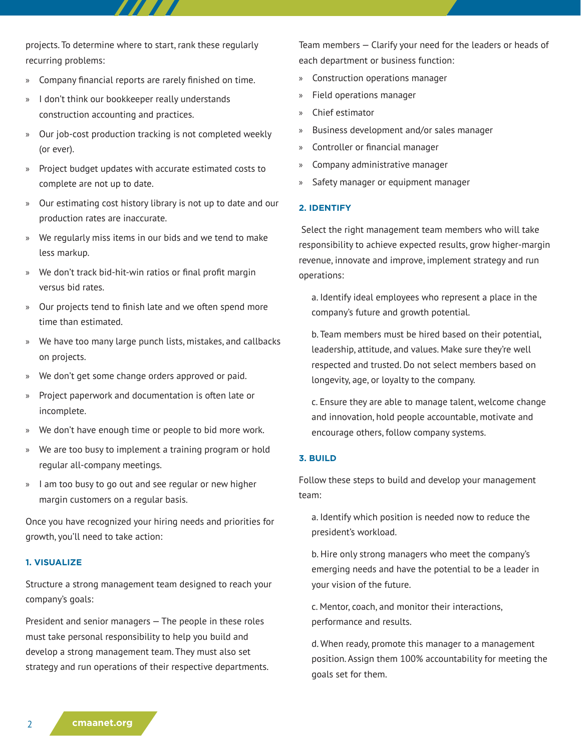projects. To determine where to start, rank these regularly recurring problems:

- » Company financial reports are rarely finished on time.
- » I don't think our bookkeeper really understands construction accounting and practices.
- » Our job-cost production tracking is not completed weekly (or ever).
- » Project budget updates with accurate estimated costs to complete are not up to date.
- » Our estimating cost history library is not up to date and our production rates are inaccurate.
- » We regularly miss items in our bids and we tend to make less markup.
- » We don't track bid-hit-win ratios or final profit margin versus bid rates.
- » Our projects tend to finish late and we often spend more time than estimated.
- » We have too many large punch lists, mistakes, and callbacks on projects.
- » We don't get some change orders approved or paid.
- » Project paperwork and documentation is often late or incomplete.
- » We don't have enough time or people to bid more work.
- We are too busy to implement a training program or hold regular all-company meetings.
- » I am too busy to go out and see regular or new higher margin customers on a regular basis.

Once you have recognized your hiring needs and priorities for growth, you'll need to take action:

## **1. VISUALIZE**

Structure a strong management team designed to reach your company's goals:

President and senior managers — The people in these roles must take personal responsibility to help you build and develop a strong management team. They must also set strategy and run operations of their respective departments. Team members — Clarify your need for the leaders or heads of each department or business function:

- » Construction operations manager
- » Field operations manager
- » Chief estimator
- » Business development and/or sales manager
- » Controller or financial manager
- » Company administrative manager
- Safety manager or equipment manager

#### **2. IDENTIFY**

 Select the right management team members who will take responsibility to achieve expected results, grow higher-margin revenue, innovate and improve, implement strategy and run operations:

a. Identify ideal employees who represent a place in the company's future and growth potential.

b. Team members must be hired based on their potential, leadership, attitude, and values. Make sure they're well respected and trusted. Do not select members based on longevity, age, or loyalty to the company.

c. Ensure they are able to manage talent, welcome change and innovation, hold people accountable, motivate and encourage others, follow company systems.

## **3. BUILD**

Follow these steps to build and develop your management team:

a. Identify which position is needed now to reduce the president's workload.

b. Hire only strong managers who meet the company's emerging needs and have the potential to be a leader in your vision of the future.

c. Mentor, coach, and monitor their interactions, performance and results.

d. When ready, promote this manager to a management position. Assign them 100% accountability for meeting the goals set for them.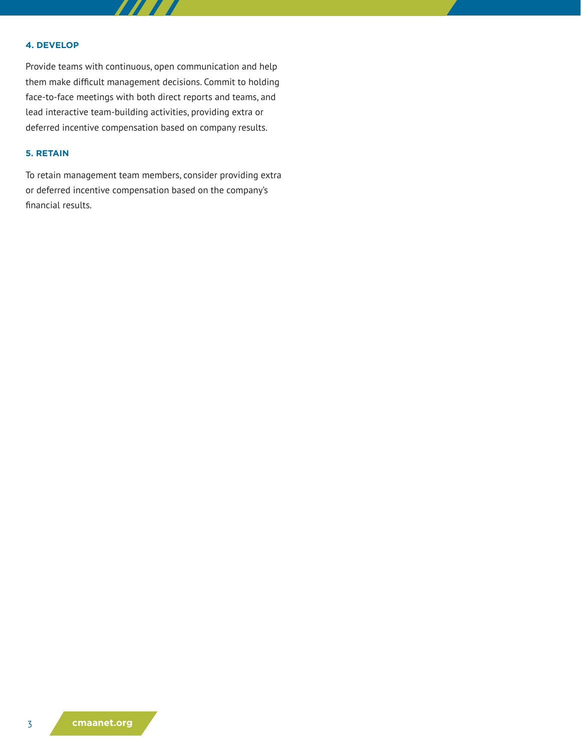#### **4. DEVELOP**

Provide teams with continuous, open communication and help them make difficult management decisions. Commit to holding face-to-face meetings with both direct reports and teams, and lead interactive team-building activities, providing extra or deferred incentive compensation based on company results.

# **5. RETAIN**

To retain management team members, consider providing extra or deferred incentive compensation based on the company's financial results.